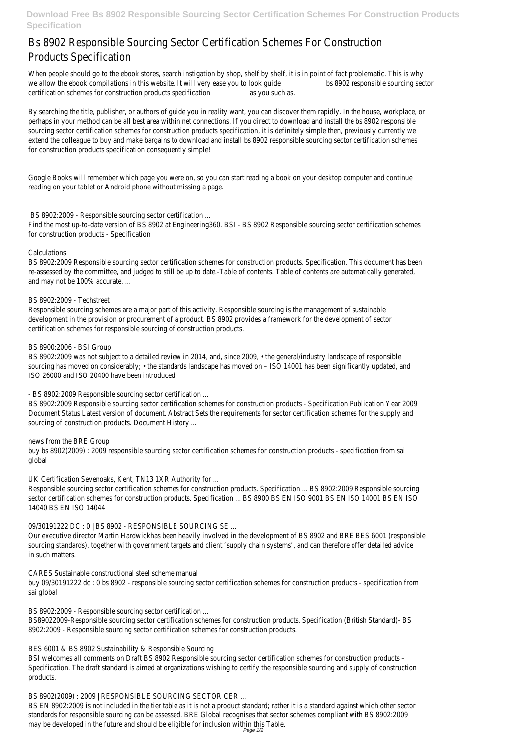**Download Free Bs 8902 Responsible Sourcing Sector Certification Schemes For Construction Products Specification**

When people should go to the ebook stores, search instigation by shop, shelf by shelf, it is in point of fact problematic. This is why we allow the ebook compilations in this website. It will very ease you to look quide bs 8902 responsible sourcing sector certification schemes for construction products specification as you such as.

# Bs 8902 Responsible Sourcing Sector Certification Schemes For Construction Products Specification

By searching the title, publisher, or authors of guide you in reality want, you can discover them rapidly. In the house, workplace, or perhaps in your method can be all best area within net connections. If you direct to download and install the bs 8902 responsible sourcing sector certification schemes for construction products specification, it is definitely simple then, previously currently we extend the colleague to buy and make bargains to download and install bs 8902 responsible sourcing sector certification schemes for construction products specification consequently simple!

Google Books will remember which page you were on, so you can start reading a book on your desktop computer and continue reading on your tablet or Android phone without missing a page.

### BS 8902:2009 - Responsible sourcing sector certification ...

Find the most up-to-date version of BS 8902 at Engineering360. BSI - BS 8902 Responsible sourcing sector certification schemes for construction products - Specification

#### Calculations

BS 8902:2009 Responsible sourcing sector certification schemes for construction products. Specification. This document has been re-assessed by the committee, and judged to still be up to date.-Table of contents. Table of contents are automatically generated, and may not be 100% accurate. ...

#### BS 8902:2009 - Techstreet

Responsible sourcing schemes are a major part of this activity. Responsible sourcing is the management of sustainable development in the provision or procurement of a product. BS 8902 provides a framework for the development of sector certification schemes for responsible sourcing of construction products.

#### BS 8900:2006 - BSI Group

BS 8902:2009 was not subject to a detailed review in 2014, and, since 2009, • the general/industry landscape of responsible sourcing has moved on considerably; • the standards landscape has moved on – ISO 14001 has been significantly updated, and ISO 26000 and ISO 20400 have been introduced;

#### - BS 8902:2009 Responsible sourcing sector certification ...

BS 8902:2009 Responsible sourcing sector certification schemes for construction products - Specification Publication Year 2009 Document Status Latest version of document. Abstract Sets the requirements for sector certification schemes for the supply and sourcing of construction products. Document History ...

#### news from the BRE Group

buy bs 8902(2009) : 2009 responsible sourcing sector certification schemes for construction products - specification from sai global

#### UK Certification Sevenoaks, Kent, TN13 1XR Authority for ...

Responsible sourcing sector certification schemes for construction products. Specification ... BS 8902:2009 Responsible sourcing sector certification schemes for construction products. Specification ... BS 8900 BS EN ISO 9001 BS EN ISO 14001 BS EN ISO 14040 BS EN ISO 14044

#### 09/30191222 DC : 0 | BS 8902 - RESPONSIBLE SOURCING SE ...

Our executive director Martin Hardwickhas been heavily involved in the development of BS 8902 and BRE BES 6001 (responsible sourcing standards), together with government targets and client 'supply chain systems', and can therefore offer detailed advice in such matters.

CARES Sustainable constructional steel scheme manual buy 09/30191222 dc : 0 bs 8902 - responsible sourcing sector certification schemes for construction products - specification from sai global

BS 8902:2009 - Responsible sourcing sector certification ...

BS89022009-Responsible sourcing sector certification schemes for construction products. Specification (British Standard)- BS 8902:2009 - Responsible sourcing sector certification schemes for construction products.

BES 6001 & BS 8902 Sustainability & Responsible Sourcing

BSI welcomes all comments on Draft BS 8902 Responsible sourcing sector certification schemes for construction products – Specification. The draft standard is aimed at organizations wishing to certify the responsible sourcing and supply of construction products.

BS 8902(2009) : 2009 | RESPONSIBLE SOURCING SECTOR CER ...

BS EN 8902:2009 is not included in the tier table as it is not a product standard; rather it is a standard against which other sector standards for responsible sourcing can be assessed. BRE Global recognises that sector schemes compliant with BS 8902:2009 may be developed in the future and should be eligible for inclusion within this Table.